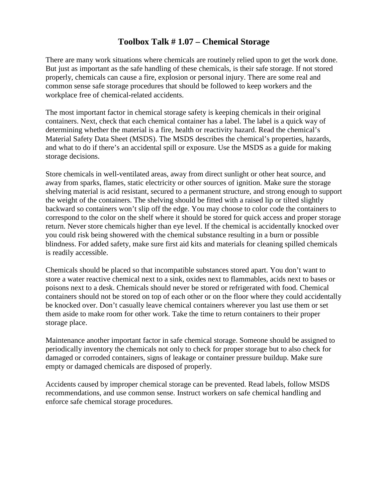## **Toolbox Talk # 1.07 – Chemical Storage**

There are many work situations where chemicals are routinely relied upon to get the work done. But just as important as the safe handling of these chemicals, is their safe storage. If not stored properly, chemicals can cause a fire, explosion or personal injury. There are some real and common sense safe storage procedures that should be followed to keep workers and the workplace free of chemical-related accidents.

The most important factor in chemical storage safety is keeping chemicals in their original containers. Next, check that each chemical container has a label. The label is a quick way of determining whether the material is a fire, health or reactivity hazard. Read the chemical's Material Safety Data Sheet (MSDS). The MSDS describes the chemical's properties, hazards, and what to do if there's an accidental spill or exposure. Use the MSDS as a guide for making storage decisions.

Store chemicals in well-ventilated areas, away from direct sunlight or other heat source, and away from sparks, flames, static electricity or other sources of ignition. Make sure the storage shelving material is acid resistant, secured to a permanent structure, and strong enough to support the weight of the containers. The shelving should be fitted with a raised lip or tilted slightly backward so containers won't slip off the edge. You may choose to color code the containers to correspond to the color on the shelf where it should be stored for quick access and proper storage return. Never store chemicals higher than eye level. If the chemical is accidentally knocked over you could risk being showered with the chemical substance resulting in a burn or possible blindness. For added safety, make sure first aid kits and materials for cleaning spilled chemicals is readily accessible.

Chemicals should be placed so that incompatible substances stored apart. You don't want to store a water reactive chemical next to a sink, oxides next to flammables, acids next to bases or poisons next to a desk. Chemicals should never be stored or refrigerated with food. Chemical containers should not be stored on top of each other or on the floor where they could accidentally be knocked over. Don't casually leave chemical containers wherever you last use them or set them aside to make room for other work. Take the time to return containers to their proper storage place.

Maintenance another important factor in safe chemical storage. Someone should be assigned to periodically inventory the chemicals not only to check for proper storage but to also check for damaged or corroded containers, signs of leakage or container pressure buildup. Make sure empty or damaged chemicals are disposed of properly.

Accidents caused by improper chemical storage can be prevented. Read labels, follow MSDS recommendations, and use common sense. Instruct workers on safe chemical handling and enforce safe chemical storage procedures.